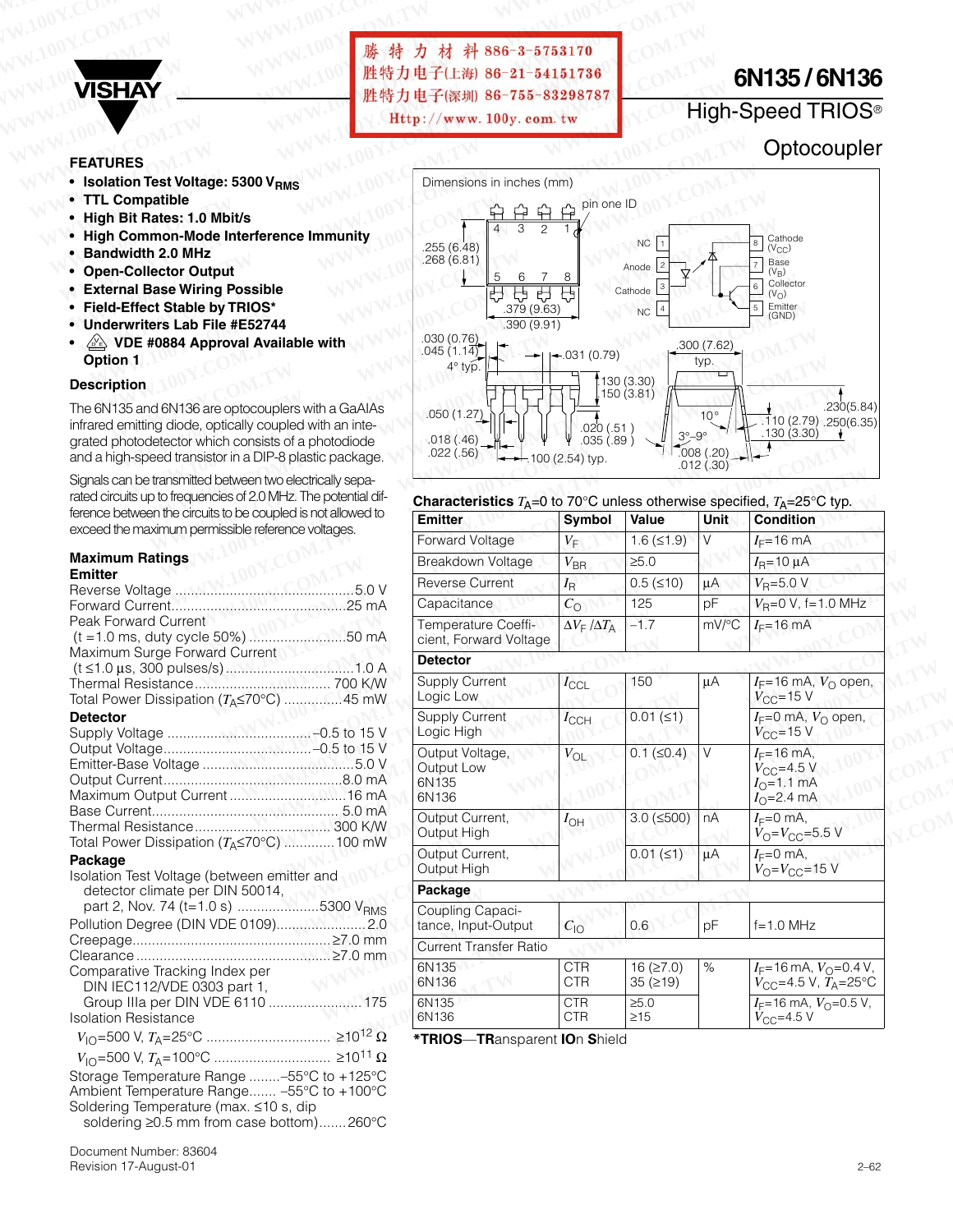

**W.100Y.COM.TW WWW.100Y.COM.TW AND WWW.100Y.COM.TW AND WWW.100Y.COM.TW AND WWW.100Y.COM.TW AND WWW.100Y.COM.TW AND WWW.100Y.COM** WWW.100Y.COM.TW WWW.100Y.COM.TW WWW.100Y.COM.TW WWW.100Y.COM.TW WWW.100Y.COM **WWW.100Y.COM.TW WWW.100Y.COM.TW WWW.100Y.COM.TW WWW.100Y.COM.TW WWW.100Y.COM.TW WWW.100Y.COM.TW** WWW.100Y.COM.TW WWW.100Y.COM.TW **膨特力电子(率制)86-755-83298787 WWW.100Y.COM.TW WWW.100Y.COM.TW WWW.100Y.COM.TW** WWW.100[Y](Http://www.100y.com.tw).[COM.TW](Http://www.100y.com.tw) <br>
WISHAY<br>
WISHAY<br> **WISHAY**<br>
EEATURES<br>
• Isolation Test Voltage: 5300 V<sub>RMS</sub><br>
• TIL Compatible is the Rises: 1.0 Mbit/s<br>
• Hith Rit Rates: 1.0 Mbit/s

# **6N135 / 6N136**

## High-Speed TRIOS®

### **Optocoupler**

### **FEATURES**

- **Isolation Test Voltage: 5300 V<sub>RMS</sub>**
- **TTL Compatible**
- **High Bit Rates: 1.0 Mbit/s**
- **High Common-Mode Interference Immunity**
- **Bandwidth 2.0 MHz**
- **Open-Collector Output**
- **External Base Wiring Possible**
- **Field-Effect Stable by TRIOS\***
- **Underwriters Lab File #E52744**
- $\mathbb{A}$  **VDE #0884 Approval Available with Option 1**

#### **Description**

The 6N135 and 6N136 are optocouplers with a GaAIAs infrared emitting diode, optically coupled with an integrated photodetector which consists of a photodiode and a high-speed transistor in a DIP-8 plastic package.

Signals can be transmitted between two electrically separated circuits up to frequencies of 2.0 MHz. The potential difference between the circuits to be coupled is not allowed to exceed the maximum permissible reference voltages.

#### **Maximum Ratings Emitter**

| ו ווועפו                                                       |  |
|----------------------------------------------------------------|--|
|                                                                |  |
|                                                                |  |
| Peak Forward Current                                           |  |
|                                                                |  |
| Maximum Surge Forward Current                                  |  |
|                                                                |  |
|                                                                |  |
| Total Power Dissipation $(T_A \le 70^{\circ} \text{C})$ 45 mW  |  |
| <b>Detector</b>                                                |  |
|                                                                |  |
|                                                                |  |
|                                                                |  |
|                                                                |  |
| Maximum Output Current 16 mA                                   |  |
|                                                                |  |
|                                                                |  |
| Total Power Dissipation $(T_A \le 70^{\circ} \text{C})$ 100 mW |  |
| Package                                                        |  |
| Isolation Test Voltage (between emitter and                    |  |
| detector climate per DIN 50014,                                |  |
| part 2, Nov. 74 (t=1.0 s) 5300 V <sub>RMS</sub>                |  |
|                                                                |  |
|                                                                |  |
|                                                                |  |
| Comparative Tracking Index per                                 |  |
| DIN IEC112/VDE 0303 part 1,                                    |  |
| Group IIIa per DIN VDE 6110  175                               |  |
| <b>Isolation Resistance</b>                                    |  |

| <b>ISOIATION RESISTANCE</b>               |  |
|-------------------------------------------|--|
|                                           |  |
|                                           |  |
| Storage Temperature Range -55°C to +125°C |  |
| Ambient Temperature Range -55°C to +100°C |  |
| Soldering Temperature (max. ≤10 s, dip    |  |
|                                           |  |

soldering ≥0.5 mm from case bottom).......260°C

Document Number: 83604 Revision 17-August-01 2–62



#### **Characteristics**  $T_{\Delta}=0$  to 70°C unless otherwise specified,  $T_{\Delta}=25$ °C typ.

| mitted between two electrically sepa-                                                | .022(.56)                                                                                             | $-100(2.54)$ typ.                                 | .035(.89)               | .008(.20)<br>.012(.30) | .130(3.30)                                                                             |
|--------------------------------------------------------------------------------------|-------------------------------------------------------------------------------------------------------|---------------------------------------------------|-------------------------|------------------------|----------------------------------------------------------------------------------------|
| equencies of 2.0 MHz. The potential dif-<br>circuits to be coupled is not allowed to | <b>Characteristics</b> $T_A=0$ to 70°C unless otherwise specified, $T_A=25$ °C typ.<br><b>Emitter</b> | Symbol                                            | Value                   | <b>Unit</b>            | <b>Condition</b>                                                                       |
| m permissible reference voltages.                                                    | Forward Voltage                                                                                       | $V_{\text{F}}$                                    | $1.6$ ( $\leq 1.9$ )    | $\vee$                 | $I_F = 16$ mA                                                                          |
|                                                                                      | <b>Breakdown Voltage</b>                                                                              | $V_{\text{BR}}$                                   | $\geq 5.0$              |                        | $I_{\rm B}$ =10 $\mu$ A                                                                |
| .5.0V                                                                                | <b>Reverse Current</b>                                                                                | $I_{\mathsf{R}}$                                  | $0.5$ ( $\leq 10$ )     | μA                     | $V_{\text{R}} = 5.0 \text{ V}$                                                         |
|                                                                                      | Capacitance                                                                                           | $C_{\rm O}$                                       | 125                     | pF                     | $V_R = 0 V$ , f=1.0 MHz                                                                |
| rrent<br>cycle 50%) 50 mA                                                            | Temperature Coeffi-<br>cient, Forward Voltage                                                         | $\Delta V_{\textrm{F}}$ / $\Delta T_{\textrm{A}}$ | $-1.7$                  | mV/°C                  | $I_F = 16$ mA                                                                          |
| Forward Current                                                                      | <b>Detector</b>                                                                                       |                                                   |                         |                        |                                                                                        |
| $\alpha$ ation ( $T_A \le 70^{\circ}$ C) 45 mW                                       | <b>Supply Current</b><br>Logic Low                                                                    | $I_{\text{CCL}}$                                  | 150                     | μA                     | $I_F = 16$ mA, $V_O$ open,<br>$V_{\rm CC}$ =15 V                                       |
|                                                                                      | <b>Supply Current</b><br>Logic High                                                                   | $I_{\text{CCH}}$                                  | $0.01$ ( $\leq 1$ )     |                        | $I_F=0$ mA, $V_O$ open,<br>$V_{\text{CC}}$ =15 V                                       |
|                                                                                      | Output Voltage,<br>Output Low<br>6N135<br>6N136                                                       | $V_{\text{OL}}$                                   | $0.1$ ( $\leq 0.4$ )    | $\vee$                 | $I_F = 16$ mA.<br>$V_{\rm CC}$ =4.5 V<br>$I_{\odot}$ =1.1 mA<br>$I_0 = 2.4 \text{ mA}$ |
| $\phi$ pation ( $T_A \le 70^{\circ}$ C) 100 mW                                       | Output Current,<br>Output High                                                                        | $I_{\text{OH}}$                                   | $3.0$ ( $\leq 500$ )    | nA                     | $I_F=0$ mA,<br>$V_{\rm O} = V_{\rm CC} = 5.5 \text{ V}$                                |
| age (between emitter and                                                             | Output Current,<br>Output High                                                                        |                                                   | $0.01 (\le 1)$          | $\mu A$                | $I_F=0$ mA,<br>$V_{\text{O}}=V_{\text{CC}}=15$ V                                       |
| e per DIN 50014,                                                                     | Package                                                                                               |                                                   |                         |                        |                                                                                        |
| $(t=1.0 s)$ 5300 V <sub>RMS</sub><br>DIN VDE 0109)2.0                                | Coupling Capaci-<br>tance, Input-Output                                                               | $C_{10}$                                          | 0.6                     | pF                     | $f=1.0$ MHz                                                                            |
|                                                                                      | <b>Current Transfer Ratio</b>                                                                         |                                                   |                         |                        |                                                                                        |
| king Index per<br>E 0303 part 1,                                                     | 6N135<br>6N136                                                                                        | <b>CTR</b><br><b>CTR</b>                          | 16 (27.0)<br>35(219)    | %                      | $I_F = 16 \text{ mA}, V_O = 0.4 \text{ V},$<br>$V_{\rm CC}$ =4.5 V, $T_{\rm A}$ =25°C  |
|                                                                                      | 6N135<br>6N136                                                                                        | <b>CTR</b><br><b>CTR</b>                          | $\geq 5.0$<br>$\geq$ 15 |                        | $I_F$ =16 mA, $V_O$ =0.5 V,<br>$V_{\text{CC}}=4.5 \text{ V}$                           |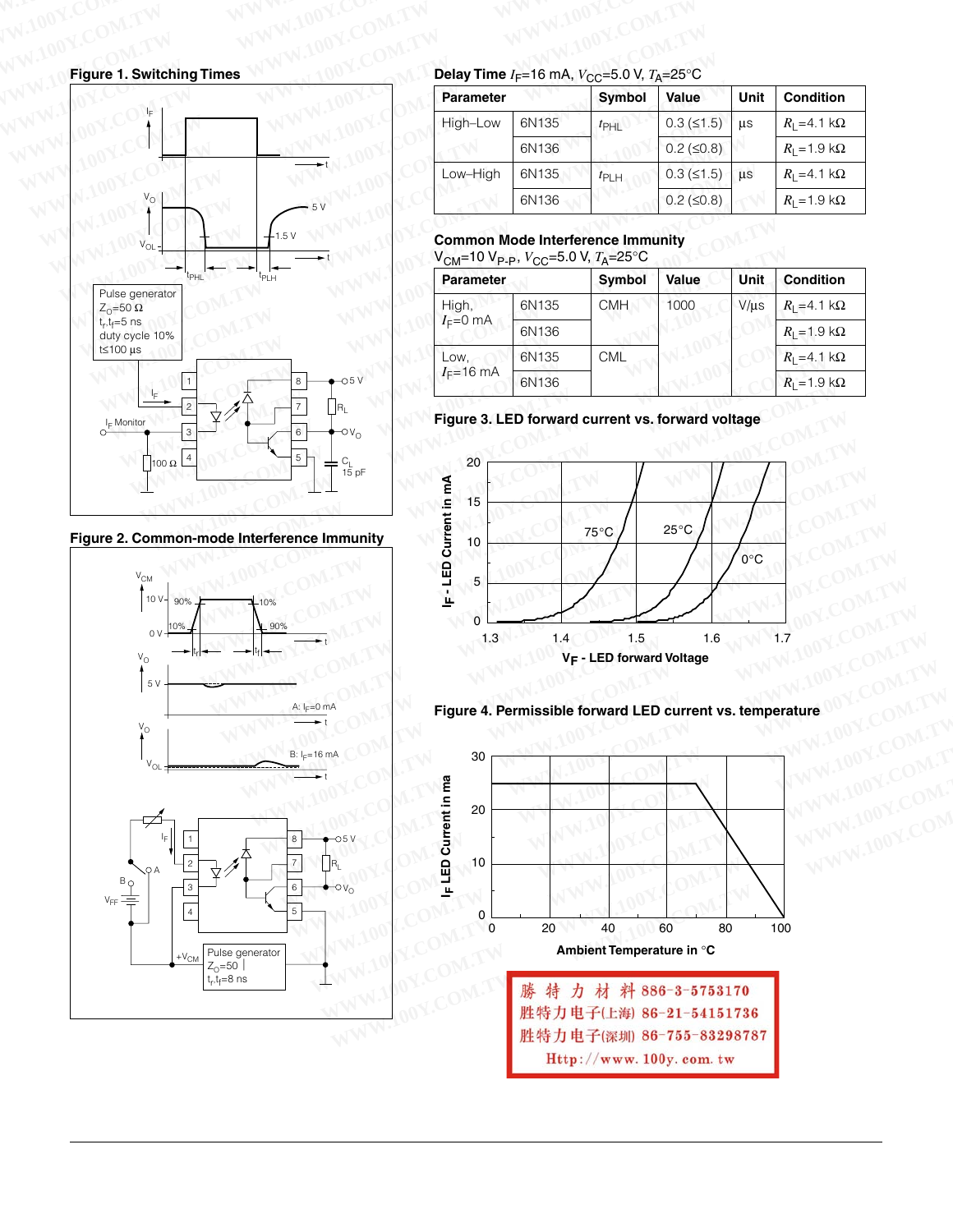**Figure 1. Switching Times**



**Figure 2. Common-mode Interference Immunity**



**Delay Time**  $I_F$ =16 mA,  $V_{CC}$ =5.0 V,  $T_A$ =25°C W.100Y.COM.TW WWW.100Y.COM.TW WWW.100Y.COM.TW WWW.100Y.COM.TW

| <b>Parameter</b> |       | <b>Symbol</b>    | Value                | Unit      | <b>Condition</b>            |
|------------------|-------|------------------|----------------------|-----------|-----------------------------|
| High-Low         | 6N135 | $t_{\text{PHI}}$ | $0.3$ ( $\leq 1.5$ ) | <b>us</b> | $R_1 = 4.1 \text{ k}\Omega$ |
|                  | 6N136 |                  | $0.2$ ( $\leq 0.8$ ) |           | $R_1 = 1.9 \text{ k}\Omega$ |
| Low-High         | 6N135 | $t_{\text{PLH}}$ | $0.3$ ( $\leq 1.5$ ) | <b>us</b> | $R_1 = 4.1 \text{ k}\Omega$ |
|                  | 6N136 |                  | $0.2$ ( $\leq 0.8$ ) |           | $R_1 = 1.9 \text{ k}\Omega$ |

### **Common Mode Interference Immunity**  $V_{CM}$ =10 V<sub>P-P</sub>,  $V_{CC}$ =5.0 V,  $T_A$ =25°C

| <b>Parameter</b>      |       | <b>Symbol</b> | Value | Unit      | <b>Condition</b>            |
|-----------------------|-------|---------------|-------|-----------|-----------------------------|
| High,<br>$I_F=0$ mA   | 6N135 | <b>CMH</b>    | 1000  | $V/\mu s$ | $R_1 = 4.1 \text{ k}\Omega$ |
|                       | 6N136 |               |       |           | $R_1$ = 1.9 k $\Omega$      |
| Low.<br>$I_F = 16$ mA | 6N135 | <b>CML</b>    |       |           | $R_1 = 4.1 \text{ k}\Omega$ |
|                       | 6N136 |               |       |           | $R_1 = 1.9 \text{ k}\Omega$ |

**Figure 3. LED forward current vs. forward voltage**



**Figure 4. Permissible forward LED current vs. temperature**

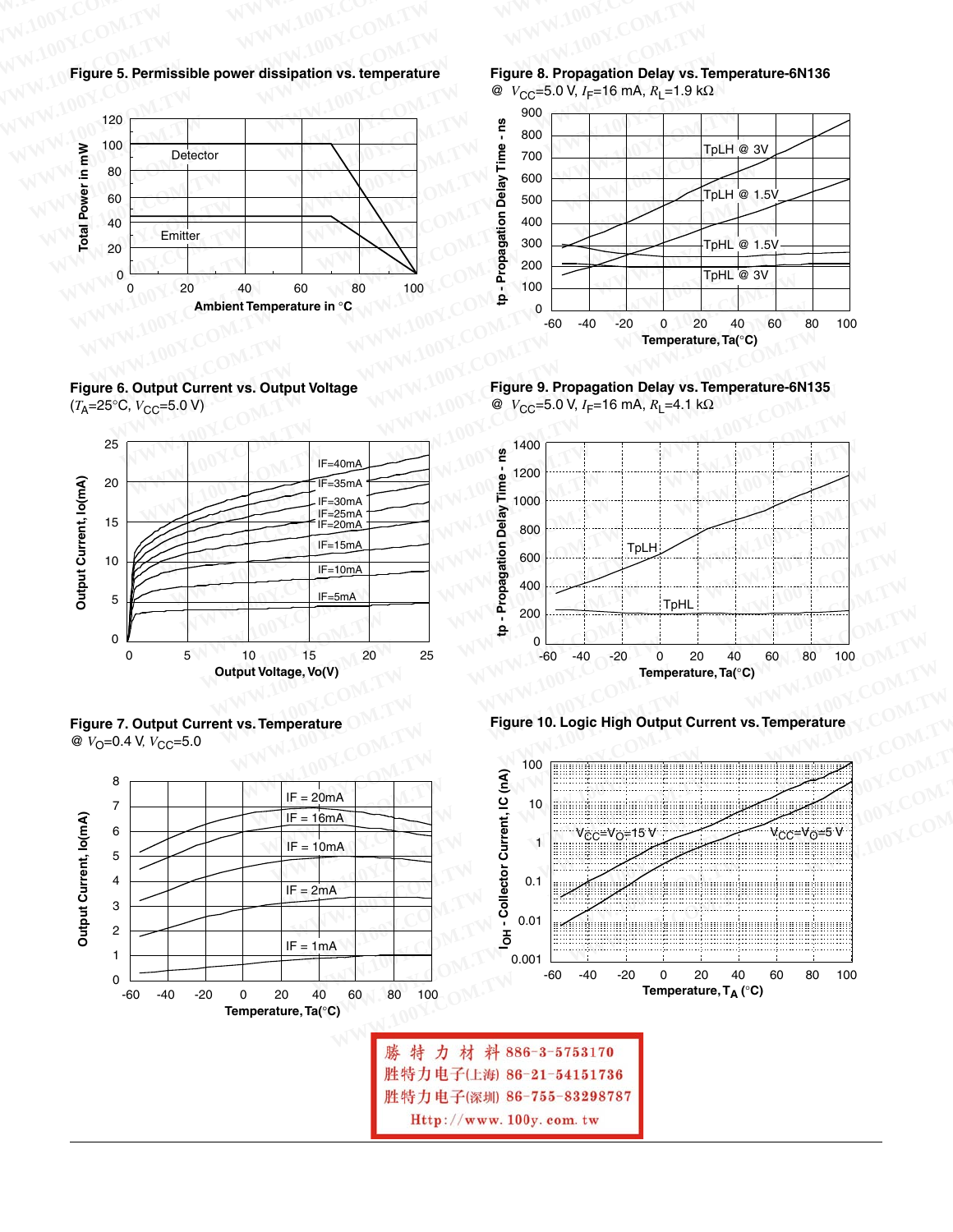**Figure 5. Permissible power dissipation vs. temperature WWW.100Y.COM.TW WWW.100Y.COM.TW WWW.100Y.COM.TW WWW.100Y.COM.TW WWW.100Y.COM.TW WWW.100Y.COM.TW WWW.100Y.COM.TW WWW.100Y.COM.TW WWW.100Y.COM.TW WWW.100Y.COM.TW WWW.100Y.COM.TW WWW.100Y.COM.TW WWW.100Y.COM.TW WWW.100Y.COM.TW WWW.100Y.COM.TW WWW.100Y.COM.TW WWW.100Y.COM.TW WWW.100Y.COM.TW WWW.100Y.COM.TW WWW.100Y.COM.TW WWW.100Y.COM.** 



**Figure 6. Output Current vs. Output Voltage**  $(T_A=25^{\circ}C, V_{CC}=5.0 V)$ 







**Figure 8. Propagation Delay vs. Temperature-6N136** @ *V*CC=5.0 V, *I*F=16 mA, *R*L=1.9 kΩ







**Figure 10. Logic High Output Current vs. Temperature**